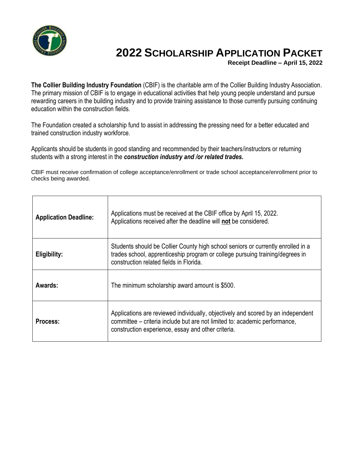

## **2022 SCHOLARSHIP APPLICATION PACKET**

**Receipt Deadline – April 15, 2022**

**The Collier Building Industry Foundation** (CBIF) is the charitable arm of the Collier Building Industry Association. The primary mission of CBIF is to engage in educational activities that help young people understand and pursue rewarding careers in the building industry and to provide training assistance to those currently pursuing continuing education within the construction fields.

The Foundation created a scholarship fund to assist in addressing the pressing need for a better educated and trained construction industry workforce.

Applicants should be students in good standing and recommended by their teachers/instructors or returning students with a strong interest in the *construction industry and /or related trades.*

CBIF must receive confirmation of college acceptance/enrollment or trade school acceptance/enrollment prior to checks being awarded.

| <b>Application Deadline:</b> | Applications must be received at the CBIF office by April 15, 2022.<br>Applications received after the deadline will not be considered.                                                                              |  |  |  |
|------------------------------|----------------------------------------------------------------------------------------------------------------------------------------------------------------------------------------------------------------------|--|--|--|
| Eligibility:                 | Students should be Collier County high school seniors or currently enrolled in a<br>trades school, apprenticeship program or college pursuing training/degrees in<br>construction related fields in Florida.         |  |  |  |
| Awards:                      | The minimum scholarship award amount is \$500.                                                                                                                                                                       |  |  |  |
| Process:                     | Applications are reviewed individually, objectively and scored by an independent<br>committee – criteria include but are not limited to: academic performance,<br>construction experience, essay and other criteria. |  |  |  |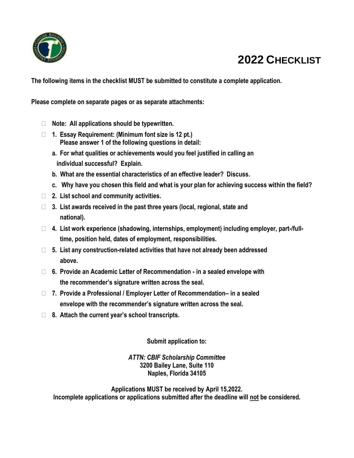

## **2022 CHECKLIST**

**The following items in the checklist MUST be submitted to constitute a complete application.** 

**Please complete on separate pages or as separate attachments:** 

- **Note: All applications should be typewritten.**
- **1. Essay Requirement: (Minimum font size is 12 pt.) Please answer 1 of the following questions in detail:**
	- **a. For what qualities or achievements would you feel justified in calling an individual successful? Explain.**
	- **b. What are the essential characteristics of an effective leader? Discuss.**
	- **c. Why have you chosen this field and what is your plan for achieving success within the field?**
- **2. List school and community activities.**
- **3. List awards received in the past three years (local, regional, state and national).**
- **4. List work experience (shadowing, internships, employment) including employer, part-/full time, position held, dates of employment, responsibilities.**
- **5. List any construction-related activities that have not already been addressed above.**
- **6. Provide an Academic Letter of Recommendation - in a sealed envelope with the recommender's signature written across the seal.**
- **7. Provide a Professional / Employer Letter of Recommendation– in a sealed envelope with the recommender's signature written across the seal.**
- **8. Attach the current year's school transcripts.**

**Submit application to:**

*ATTN: CBIF Scholarship Committee* **3200 Bailey Lane, Suite 110 Naples, Florida 34105**

**Applications MUST be received by April 15,2022. Incomplete applications or applications submitted after the deadline will not be considered.**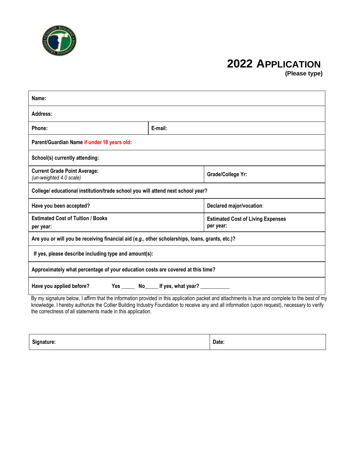

## **2022 APPLICATION**

 **(Please type)**

| Name:                                                                                                          |  |                                                                                                                                                 |  |  |  |  |
|----------------------------------------------------------------------------------------------------------------|--|-------------------------------------------------------------------------------------------------------------------------------------------------|--|--|--|--|
| Address:                                                                                                       |  |                                                                                                                                                 |  |  |  |  |
| Phone:<br>E-mail:                                                                                              |  |                                                                                                                                                 |  |  |  |  |
| Parent/Guardian Name if under 18 years old:                                                                    |  |                                                                                                                                                 |  |  |  |  |
| School(s) currently attending:                                                                                 |  |                                                                                                                                                 |  |  |  |  |
| <b>Current Grade Point Average:</b><br>Grade/College Yr:<br>(un-weighted 4.0 scale)                            |  |                                                                                                                                                 |  |  |  |  |
| College/ educational institution/trade school you will attend next school year?                                |  |                                                                                                                                                 |  |  |  |  |
| Have you been accepted?<br>Declared major/vocation:                                                            |  |                                                                                                                                                 |  |  |  |  |
| <b>Estimated Cost of Tuition / Books</b><br><b>Estimated Cost of Living Expenses</b><br>per year:<br>per year: |  |                                                                                                                                                 |  |  |  |  |
| Are you or will you be receiving financial aid (e.g., other scholarships, loans, grants, etc.)?                |  |                                                                                                                                                 |  |  |  |  |
| If yes, please describe including type and amount(s):                                                          |  |                                                                                                                                                 |  |  |  |  |
| Approximately what percentage of your education costs are covered at this time?                                |  |                                                                                                                                                 |  |  |  |  |
| Yes ________ No_______ If yes, what year? _____________<br>Have you applied before?                            |  |                                                                                                                                                 |  |  |  |  |
|                                                                                                                |  | By my signature below, I affirm that the information provided in this application packet and attachments is true and complete to the best of my |  |  |  |  |

knowledge. I hereby authorize the Collier Building Industry Foundation to receive any and all information (upon request), necessary to verify the correctness of all statements made in this application.

| Signature: | Date: |
|------------|-------|
|------------|-------|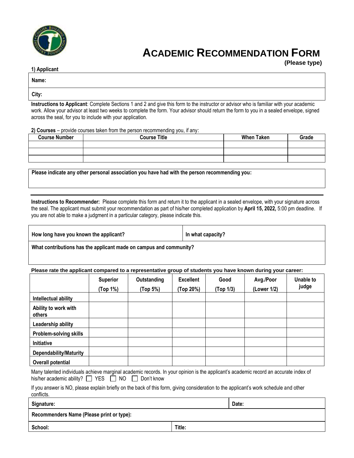

## **ACADEMIC RECOMMENDATION FORM**

 **(Please type)**

| 1) Applicant |
|--------------|
|--------------|

**Name:**

**City:**

**Instructions to Applicant**: Complete Sections 1 and 2 and give this form to the instructor or advisor who is familiar with your academic work. Allow your advisor at least two weeks to complete the form. Your advisor should return the form to you in a sealed envelope, signed across the seal, for you to include with your application.

**2) Courses** – provide courses taken from the person recommending you, if any:

| <b>Course Number</b> | <b>Course Title</b> | <b>When Taken</b> | Grade |
|----------------------|---------------------|-------------------|-------|
|                      |                     |                   |       |
|                      |                     |                   |       |
|                      |                     |                   |       |

**Please indicate any other personal association you have had with the person recommending you:**

**Instructions to Recommender:** Please complete this form and return it to the applicant in a sealed envelope, with your signature across the seal. The applicant must submit your recommendation as part of his/her completed application by **April 15, 2022***,* 5:00 pm deadline. If you are not able to make a judgment in a particular category, please indicate this.

| How long have you known the applicant? | In what capacity's |
|----------------------------------------|--------------------|
|                                        |                    |

**What contributions has the applicant made on campus and community?**

**Please rate the applicant compared to a representative group of students you have known during your career:**

|                                | <b>Superior</b><br>(Top 1%) | Outstanding<br>(Top 5%) | <b>Excellent</b><br>(Top 20%) | Good<br>(Top 1/3) | Avg./Poor<br>(Lower 1/2) | <b>Unable to</b><br>judge |
|--------------------------------|-----------------------------|-------------------------|-------------------------------|-------------------|--------------------------|---------------------------|
| Intellectual ability           |                             |                         |                               |                   |                          |                           |
| Ability to work with<br>others |                             |                         |                               |                   |                          |                           |
| Leadership ability             |                             |                         |                               |                   |                          |                           |
| <b>Problem-solving skills</b>  |                             |                         |                               |                   |                          |                           |
| Initiative                     |                             |                         |                               |                   |                          |                           |
| <b>Dependability/Maturity</b>  |                             |                         |                               |                   |                          |                           |
| Overall potential              |                             |                         |                               |                   |                          |                           |

Many talented individuals achieve marginal academic records. In your opinion is the applicant's academic record an accurate index of his/her academic ability?  $\Box$  YES  $\Box$  NO  $\Box$  Don't know

If you answer is NO, please explain briefly on the back of this form, giving consideration to the applicant's work schedule and other conflicts.

**Signature: Date:**

**Recommenders Name (Please print or type):**

**School: Title:**